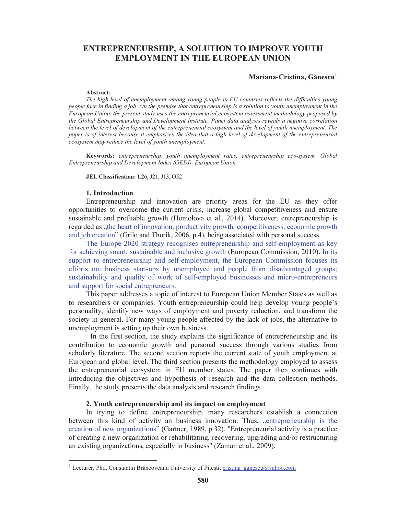# ENTREPRENEURSHIP, A SOLUTION TO IMPROVE YOUTH EMPLOYMENT IN THE EUROPEAN UNION

### Mariana-Cristina, Gănescu<sup>1</sup>

#### Abstract:

*The high level of unemployment among young people in EU countries reflects the difficulties young people face in finding a job. On the premise that entrepreneurship is a solution to youth unemployment in the European Union, the present study uses the entrepreneurial ecosystem assessment methodology proposed by the Global Entrepreneurship and Development Institute. Panel data analysis reveals a negative correlation between the level of development of the entrepreneurial ecosystem and the level of youth unemployment. The paper is of interest because it emphasizes the idea that a high level of development of the entrepreneurial ecosystem may reduce the level of youth unemployment.* 

Keywords: *entrepreneurship, youth unemployment rates, entrepreneurship eco-system, Global Entrepreneurship and Development Index (GEDI), European Union.* 

JEL Classification: L26, J21, J13, O52

# 1. Introduction

Entrepreneurship and innovation are priority areas for the EU as they offer opportunities to overcome the current crisis, increase global competitiveness and ensure sustainable and profitable growth (Homolova et al., 2014). Moreover, entrepreneurship is regarded as "the heart of innovation, productivity growth, competitiveness, economic growth and job creation" (Grilo and Thurik, 2006, p.4), being associated with personal success.

The Europe 2020 strategy recognises entrepreneurship and self-employment as key for achieving smart, sustainable and inclusive growth (European Commission, 2010). In its support to entrepreneurship and self-employment, the European Commission focuses its efforts on: business start-ups by unemployed and people from disadvantaged groups; sustainability and quality of work of self-employed businesses and micro-entrepreneurs and support for social entrepreneurs.

This paper addresses a topic of interest to European Union Member States as well as to researchers or companies. Youth entrepreneurship could help develop young people's personality, identify new ways of employment and poverty reduction, and transform the society in general. For many young people affected by the lack of jobs, the alternative to unemployment is setting up their own business.

In the first section, the study explains the significance of entrepreneurship and its contribution to economic growth and personal success through various studies from scholarly literature. The second section reports the current state of youth employment at European and global level. The third section presents the methodology employed to assess the entrepreneurial ecosystem in EU member states. The paper then continues with introducing the objectives and hypothesis of research and the data collection methods. Finally, the study presents the data analysis and research findings.

### 2. Youth entrepreneurship and its impact on employment

In trying to define entrepreneurship, many researchers establish a connection between this kind of activity an business innovation. Thus, entrepreneurship is the creation of new organizations" (Gartner, 1989, p.32). "Entrepreneurial activity is a practice of creating a new organization or rehabilitating, recovering, upgrading and/or restructuring an existing organizations, especially in business" (Zaman et al., 2009).

<sup>&</sup>lt;sup>1</sup> Lecturer, Phd, Constantin Brâncoveanu University of Pitești, cristina\_ganescu@yahoo.com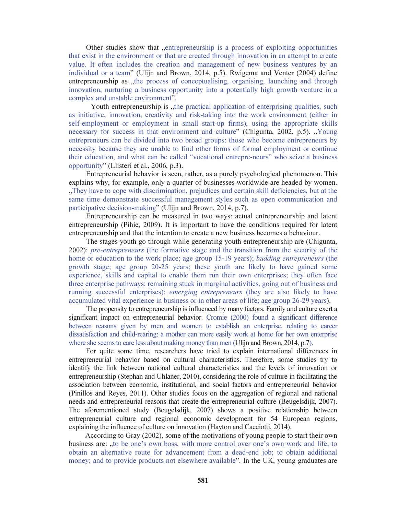Other studies show that "entrepreneurship is a process of exploiting opportunities that exist in the environment or that are created through innovation in an attempt to create value. It often includes the creation and management of new business ventures by an individual or a team" (Ulijn and Brown, 2014, p.5). Rwigema and Venter (2004) define entrepreneurship as "the process of conceptualising, organising, launching and through innovation, nurturing a business opportunity into a potentially high growth venture in a complex and unstable environment".

Youth entrepreneurship is "the practical application of enterprising qualities, such as initiative, innovation, creativity and risk-taking into the work environment (either in self-employment or employment in small start-up firms), using the appropriate skills necessary for success in that environment and culture" (Chigunta, 2002, p.5). "Young entrepreneurs can be divided into two broad groups: those who become entrepreneurs by necessity because they are unable to find other forms of formal employment or continue their education, and what can be called "vocational entrepre-neurs" who seize a business opportunity" (Llisteri et al., 2006, p.3).

Entrepreneurial behavior is seen, rather, as a purely psychological phenomenon. This explains why, for example, only a quarter of businesses worldwide are headed by women. "They have to cope with discrimination, prejudices and certain skill deficiencies, but at the same time demonstrate successful management styles such as open communication and participative decision-making" (Ulijn and Brown, 2014, p.7).

Entrepreneurship can be measured in two ways: actual entrepreneurship and latent entrepreneurship (Pihie, 2009). It is important to have the conditions required for latent entrepreneurship and that the intention to create a new business becomes a behaviour.

The stages youth go through while generating youth entrepreneurship are (Chigunta, 2002): *pre-entrepreneurs* (the formative stage and the transition from the security of the home or education to the work place; age group 15-19 years); *budding entrepreneurs* (the growth stage; age group 20-25 years; these youth are likely to have gained some experience, skills and capital to enable them run their own enterprises; they often face three enterprise pathways: remaining stuck in marginal activities, going out of business and running successful enterprises); *emerging entrepreneurs* (they are also likely to have accumulated vital experience in business or in other areas of life; age group 26-29 years).

The propensity to entrepreneurship is influenced by many factors. Family and culture exert a significant impact on entrepreneurial behavior. Cromie (2000) found a significant difference between reasons given by men and women to establish an enterprise, relating to career dissatisfaction and child-rearing: a mother can more easily work at home for her own enterprise where she seems to care less about making money than men (Ulijn and Brown, 2014, p.7).

For quite some time, researchers have tried to explain international differences in entrepreneurial behavior based on cultural characteristics. Therefore, some studies try to identify the link between national cultural characteristics and the levels of innovation or entrepreneurship (Stephan and Uhlaner, 2010), considering the role of culture in facilitating the association between economic, institutional, and social factors and entrepreneurial behavior (Pinillos and Reyes, 2011). Other studies focus on the aggregation of regional and national needs and entrepreneurial reasons that create the entrepreneurial culture (Beugelsdijk, 2007). The aforementioned study (Beugelsdijk, 2007) shows a positive relationship between entrepreneurial culture and regional economic development for 54 European regions, explaining the influence of culture on innovation (Hayton and Cacciotti, 2014).

According to Gray (2002), some of the motivations of young people to start their own business are: "to be one's own boss, with more control over one's own work and life; to obtain an alternative route for advancement from a dead-end job; to obtain additional money; and to provide products not elsewhere available". In the UK, young graduates are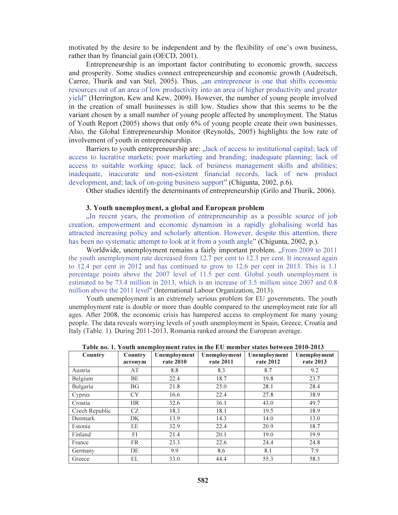motivated by the desire to be independent and by the flexibility of one's own business, rather than by financial gain (OECD, 2001).

Entrepreneurship is an important factor contributing to economic growth, success and prosperity. Some studies connect entrepreneurship and economic growth (Audretsch, Carree, Thurik and van Stel, 2005). Thus, "an entrepreneur is one that shifts economic resources out of an area of low productivity into an area of higher productivity and greater yield" (Herrington, Kew and Kew, 2009). However, the number of young people involved in the creation of small businesses is still low. Studies show that this seems to be the variant chosen by a small number of young people affected by unemployment. The Status of Youth Report (2005) shows that only 6% of young people create their own businesses. Also, the Global Entrepreneurship Monitor (Reynolds, 2005) highlights the low rate of involvement of youth in entrepreneurship.

Barriers to youth entrepreneurship are:  $\mu$ lack of access to institutional capital; lack of access to lucrative markets; poor marketing and branding; inadequate planning; lack of access to suitable working space; lack of business management skills and abilities; inadequate, inaccurate and non-existent financial records, lack of new product development, and; lack of on-going business support" (Chigunta, 2002, p.6).

Other studies identify the determinants of entrepreneurship (Grilo and Thurik, 2006).

#### 3. Youth unemployment, a global and European problem

In recent years, the promotion of entrepreneurship as a possible source of job creation, empowerment and economic dynamism in a rapidly globalising world has attracted increasing policy and scholarly attention. However, despite this attention, there has been no systematic attempt to look at it from a youth angle" (Chigunta, 2002, p.).

Worldwide, unemployment remains a fairly important problem. "From 2009 to 2011 the youth unemployment rate decreased from 12.7 per cent to 12.3 per cent. It increased again to 12.4 per cent in 2012 and has continued to grow to 12.6 per cent in 2013. This is 1.1 percentage points above the 2007 level of 11.5 per cent. Global youth unemployment is estimated to be 73.4 million in 2013, which is an increase of 3.5 million since 2007 and 0.8 million above the 2011 level" (International Labour Organization, 2013).

Youth unemployment is an extremely serious problem for EU governments. The youth unemployment rate is double or more than double compared to the unemployment rate for all ages. After 2008, the economic crisis has hampered access to employment for many young people. The data reveals worrying levels of youth unemployment in Spain, Greece, Croatia and Italy (Table. 1). During 2011-2013, Romania ranked around the European average.

| Table no. 1, Touth unemployment rates in the EQ member states between 2010-2015 |           |              |              |              |              |
|---------------------------------------------------------------------------------|-----------|--------------|--------------|--------------|--------------|
| Country                                                                         | Country   | Unemployment | Unemployment | Unemployment | Unemployment |
|                                                                                 | acronym   | rate 2010    | rate 2011    | rate 2012    | rate 2013    |
|                                                                                 |           |              |              |              |              |
| Austria                                                                         | AT        | 8.8          | 8.3          | 8.7          | 9.2          |
| Belgium                                                                         | BE        | 22.4         | 18.7         | 19.8         | 23.7         |
| Bulgaria                                                                        | <b>BG</b> | 21.8         | 25.0         | 28.1         | 28.4         |
| Cyprus                                                                          | <b>CY</b> | 16.6         | 22.4         | 27.8         | 38.9         |
| Croatia                                                                         | <b>HR</b> | 32.6         | 36.1         | 43.0         | 49.7         |
| Czech Republic                                                                  | CZ.       | 18.3         | 18.1         | 19.5         | 18.9         |
| Denmark                                                                         | DK        | 13.9         | 14.3         | 14.0         | 13.0         |
| Estonia                                                                         | EE        | 32.9         | 22.4         | 20.9         | 18.7         |
| Finland                                                                         | FI        | 21.4         | 20.1         | 19.0         | 19.9         |
| France                                                                          | <b>FR</b> | 23.3         | 22.6         | 24.4         | 24.8         |
| Germany                                                                         | DE        | 9.9          | 8.6          | 8.1          | 7.9          |
| Greece                                                                          | EL        | 33.0         | 44.4         | 55.3         | 58.3         |

Table no. 1. Youth unemployment rates in the EU member states between 2010-2013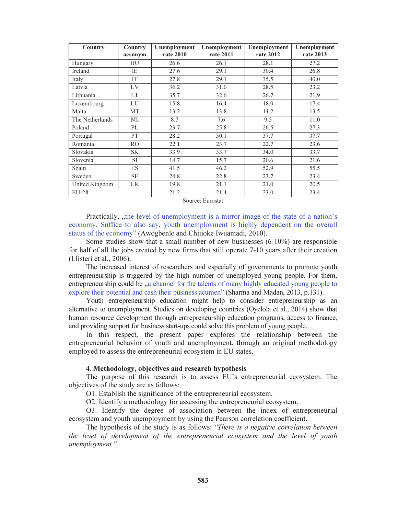| Country         | Country<br>acronym | Unemployment<br>rate 2010 | Unemployment<br>rate 2011 | Unemployment<br>rate 2012 | Unemployment<br>rate 2013 |
|-----------------|--------------------|---------------------------|---------------------------|---------------------------|---------------------------|
| Hungary         | HU                 | 26.6                      | 26.1                      | 28.1                      | 27.2                      |
| Ireland         | IE                 | 27.6                      | 29.1                      | 30.4                      | 26.8                      |
| Italy           | IT                 | 27.8                      | 29.1                      | 35.5                      | 40.0                      |
| Latvia          | LV                 | 36.2                      | 31.0                      | 28.5                      | 23.2                      |
| Lithuania       | LT                 | 35.7                      | 32.6                      | 26.7                      | 21.9                      |
| Luxembourg      | LU                 | 15.8                      | 16.4                      | 18.0                      | 17.4                      |
| Malta           | <b>MT</b>          | 13.2                      | 13.8                      | 14.2                      | 13.5                      |
| The Netherlands | NL                 | 8.7                       | 7.6                       | 9.5                       | 11.0                      |
| Poland          | PL                 | 23.7                      | 25.8                      | 26.5                      | 27.3                      |
| Portugal        | PT                 | 28.2                      | 30.1                      | 37.7                      | 37.7                      |
| Romania         | R <sub>O</sub>     | 22.1                      | 23.7                      | 22.7                      | 23.6                      |
| Slovakia        | <b>SK</b>          | 33.9                      | 33.7                      | 34.0                      | 33.7                      |
| Slovenia        | <b>SI</b>          | 14.7                      | 15.7                      | 20.6                      | 21.6                      |
| Spain           | ES                 | 41.5                      | 46.2                      | 52.9                      | 55.5                      |
| Sweden          | <b>SE</b>          | 24.8                      | 22.8                      | 23.7                      | 23.4                      |
| United Kingdom  | UK                 | 19.8                      | 21.1                      | 21.0                      | 20.5                      |
| $EU-28$         |                    | 21.2                      | 21.4                      | 23.0                      | 23.4                      |

Source: Eurostat

Practically, the level of unemployment is a mirror image of the state of a nation's economy. Suffice to also say, youth unemployment is highly dependent on the overall status of the economy" (Awogbenle and Chijioke Iwuamadi, 2010).

Some studies show that a small number of new businesses (6-10%) are responsible for half of all the jobs created by new firms that still operate 7-10 years after their creation (Llisteri et al., 2006).

The increased interest of researchers and especially of governments to promote youth entrepreneurship is triggered by the high number of unemployed young people. For them, entrepreneurship could be  $\alpha$  channel for the talents of many highly educated young people to explore their potential and cash their business acumen" (Sharma and Madan, 2013, p.131).

Youth entrepreneurship education might help to consider entrepreneurship as an alternative to unemployment. Studies on developing countries (Oyelola et al., 2014) show that human resource development through entrepreneurship education programs, access to finance, and providing support for business start-ups could solve this problem of young people.

In this respect, the present paper explores the relationship between the entrepreneurial behavior of youth and unemployment, through an original methodology employed to assess the entrepreneurial ecosystem in EU states.

# 4. Methodology, objectives and research hypothesis

The purpose of this research is to assess EU's entrepreneurial ecosystem. The objectives of the study are as follows:

O1. Establish the significance of the entrepreneurial ecosystem.

O2. Identify a methodology for assessing the entrepreneurial ecosystem.

O3. Identify the degree of association between the index of entrepreneurial ecosystem and youth unemployment by using the Pearson correlation coefficient.

The hypothesis of the study is as follows: "There is a negative correlation between the level of development of the entrepreneurial ecosystem and the level of youth unemployment."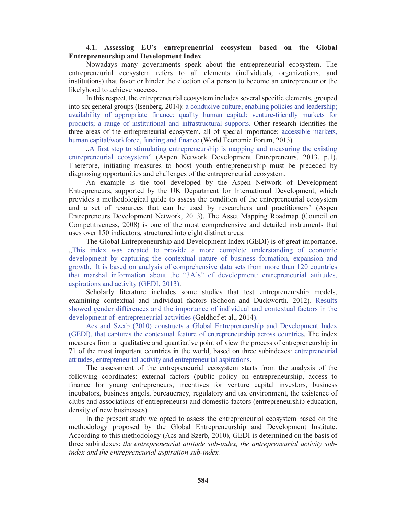# 4.1. Assessing EU's entrepreneurial ecosystem based on the Global Entrepreneurship and Development Index

Nowadays many governments speak about the entrepreneurial ecosystem. The entrepreneurial ecosystem refers to all elements (individuals, organizations, and institutions) that favor or hinder the election of a person to become an entrepreneur or the likelyhood to achieve success.

In this respect, the entrepreneurial ecosystem includes several specific elements, grouped into six general groups (Isenberg, 2014): a conducive culture; enabling policies and leadership; availability of appropriate finance; quality human capital; venture-friendly markets for products; a range of institutional and infrastructural supports. Other research identifies the three areas of the entrepreneurial ecosystem, all of special importance: accessible markets, human capital/workforce, funding and finance (World Economic Forum, 2013).

. A first step to stimulating entrepreneurship is mapping and measuring the existing entrepreneurial ecosystem" (Aspen Network Development Entrepreneurs, 2013, p.1). Therefore, initiating measures to boost youth entrepreneurship must be preceded by diagnosing opportunities and challenges of the entrepreneurial ecosystem.

An example is the tool developed by the Aspen Network of Development Entrepreneurs, supported by the UK Department for International Development, which provides a methodological guide to assess the condition of the entrepreneurial ecosystem and a set of resources that can be used by researchers and practitioners" (Aspen Entrepreneurs Development Network, 2013). The Asset Mapping Roadmap (Council on Competitiveness, 2008) is one of the most comprehensive and detailed instruments that uses over 150 indicators, structured into eight distinct areas.

The Global Entrepreneurship and Development Index (GEDI) is of great importance. .This index was created to provide a more complete understanding of economic development by capturing the contextual nature of business formation, expansion and growth. It is based on analysis of comprehensive data sets from more than 120 countries that marshal information about the "3A's" of development: entrepreneurial attitudes, aspirations and activity (GEDI, 2013).

Scholarly literature includes some studies that test entrepreneurship models, examining contextual and individual factors (Schoon and Duckworth, 2012). Results showed gender differences and the importance of individual and contextual factors in the development of entrepreneurial activities (Geldhof et al., 2014).

Acs and Szerb (2010) constructs a Global Entrepreneurship and Development Index (GEDI), that captures the contextual feature of entrepreneurship across countries. The index measures from a qualitative and quantitative point of view the process of entrepreneurship in 71 of the most important countries in the world, based on three subindexes: entrepreneurial attitudes, entrepreneurial activity and entrepreneurial aspirations.

The assessment of the entrepreneurial ecosystem starts from the analysis of the following coordinates: external factors (public policy on entrepreneurship, access to finance for young entrepreneurs, incentives for venture capital investors, business incubators, business angels, bureaucracy, regulatory and tax environment, the existence of clubs and associations of entrepreneurs) and domestic factors (entrepreneurship education, density of new businesses).

In the present study we opted to assess the entrepreneurial ecosystem based on the methodology proposed by the Global Entrepreneurship and Development Institute. According to this methodology (Acs and Szerb, 2010), GEDI is determined on the basis of three subindexes: the entrepreneurial attitude sub-index, the antrepreneurial activity subindex and the entrepreneurial aspiration sub-index.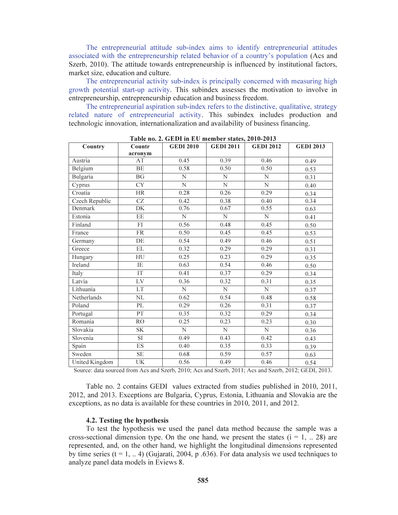The entrepreneurial attitude sub-index aims to identify entrepreneurial attitudes associated with the entrepreneurship related behavior of a country's population (Acs and Szerb, 2010). The attitude towards entrepreneurship is influenced by institutional factors, market size, education and culture.

The entrepreneurial activity sub-index is principally concerned with measuring high growth potential start-up activity. This subindex assesses the motivation to involve in entrepreneurship, entrepreneurship education and business freedom.

The entrepreneurial aspiration sub-index refers to the distinctive, qualitative, strategy related nature of entrepreneurial activity. This subindex includes production and technologic innovation, internationalization and availability of business financing.

| Country        | Countr                   | <b>GEDI 2010</b>      | <b>GEDI 2011</b>   | <b>GEDI 2012</b> | <b>GEDI 2013</b> |
|----------------|--------------------------|-----------------------|--------------------|------------------|------------------|
|                | acronym                  |                       |                    |                  |                  |
| Austria        | AT                       | 0.45                  | 0.39               | 0.46             | 0.49             |
| Belgium        | BE                       | 0.58                  | 0.50               | 0.50             | 0.53             |
| Bulgaria       | $\overline{BG}$          | $\overline{N}$        | N                  | $\overline{N}$   | 0.31             |
| Cyprus         | $\overline{\rm CY}$      | $\mathbf N$           | N                  | $\mathbf N$      | 0.40             |
| Croatia        | <b>HR</b>                | 0.28                  | 0.26               | 0.29             | 0.34             |
| Czech Republic | $\overline{\text{CZ}}$   | 0.42                  | 0.38               | 0.40             | 0.34             |
| Denmark        | DK                       | 0.76                  | 0.67               | 0.55             | 0.63             |
| Estonia        | $\overline{EE}$          | $\overline{\text{N}}$ | $\overline{\rm N}$ | $\overline{N}$   | 0.41             |
| Finland        | $\overline{FI}$          | 0.56                  | 0.48               | 0.45             | 0.50             |
| France         | <b>FR</b>                | 0.50                  | 0.45               | 0.45             | 0.53             |
| Germany        | $\overline{DE}$          | 0.54                  | 0.49               | 0.46             | 0.51             |
| Greece         | $\overline{EL}$          | 0.32                  | 0.29               | 0.29             | 0.31             |
| Hungary        | HU                       | 0.25                  | 0.23               | 0.29             | 0.35             |
| <b>Ireland</b> | $\overline{\text{IE}}$   | 0.63                  | 0.54               | 0.46             | 0.50             |
| Italy          | IT                       | 0.41                  | 0.37               | 0.29             | 0.34             |
| Latvia         | LV                       | 0.36                  | 0.32               | 0.31             | 0.35             |
| Lithuania      | LT                       | $\overline{N}$        | $\overline{\rm N}$ | $\overline{N}$   | 0.37             |
| Netherlands    | $\overline{\text{NL}}$   | 0.62                  | 0.54               | 0.48             | 0.58             |
| Poland         | PL                       | 0.29                  | 0.26               | 0.31             | 0.37             |
| Portugal       | $\overline{PT}$          | 0.35                  | 0.32               | 0.29             | 0.34             |
| Romania        | R <sub>O</sub>           | 0.25                  | 0.23               | 0.23             | 0.30             |
| Slovakia       | <b>SK</b>                | $\mathbf N$           | N                  | $\overline{N}$   | 0.36             |
| Slovenia       | $\overline{\mathrm{SI}}$ | 0.49                  | 0.43               | 0.42             | 0.43             |
| Spain          | ES                       | 0.40                  | 0.35               | 0.33             | 0.39             |
| Sweden         | $\rm SE$                 | 0.68                  | 0.59               | 0.57             | 0.63             |
| United Kingdom | UK                       | 0.56                  | 0.49               | 0.46             | 0.54             |

Table no. 2. GEDI in EU member states, 2010-2013

Source: data sourced from Acs and Szerb, 2010; Acs and Szerb, 2011; Acs and Szerb, 2012; GEDI, 2013.

Table no. 2 contains GEDI values extracted from studies published in 2010, 2011, 2012, and 2013. Exceptions are Bulgaria, Cyprus, Estonia, Lithuania and Slovakia are the exceptions, as no data is available for these countries in 2010, 2011, and 2012.

#### 4.2. Testing the hypothesis

To test the hypothesis we used the panel data method because the sample was a cross-sectional dimension type. On the one hand, we present the states  $(i = 1, ... 28)$  are represented, and, on the other hand, we highlight the longitudinal dimensions represented by time series  $(t = 1, ... 4)$  (Gujarati, 2004, p.636). For data analysis we used techniques to analyze panel data models in Eviews 8.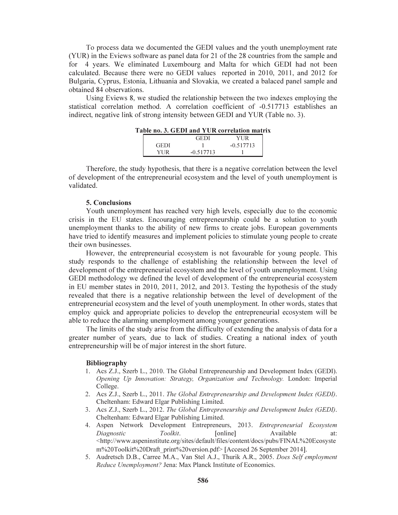To process data we documented the GEDI values and the youth unemployment rate (YUR) in the Eviews software as panel data for 21 of the 28 countries from the sample and for 4 years. We eliminated Luxembourg and Malta for which GEDI had not been calculated. Because there were no GEDI values reported in 2010, 2011, and 2012 for Bulgaria, Cyprus, Estonia, Lithuania and Slovakia, we created a balaced panel sample and obtained 84 observations.

Using Eviews 8, we studied the relationship between the two indexes employing the statistical correlation method. A correlation coefficient of -0.517713 establishes an indirect, negative link of strong intensity between GEDI and YUR (Table no. 3).

|             | GEDI        | YI IR       |
|-------------|-------------|-------------|
| <b>GEDI</b> |             | $-0.517713$ |
| YHR.        | $-0.517713$ |             |

Table no. 3. GEDI and YUR correlation matrix

Therefore, the study hypothesis, that there is a negative correlation between the level of development of the entrepreneurial ecosystem and the level of youth unemployment is validated.

#### 5. Conclusions

Youth unemployment has reached very high levels, especially due to the economic crisis in the EU states. Encouraging entrepreneurship could be a solution to youth unemployment thanks to the ability of new firms to create jobs. European governments have tried to identify measures and implement policies to stimulate young people to create their own businesses.

However, the entrepreneurial ecosystem is not favourable for young people. This study responds to the challenge of establishing the relationship between the level of development of the entrepreneurial ecosystem and the level of youth unemployment. Using GEDI methodology we defined the level of development of the entrepreneurial ecosystem in EU member states in 2010, 2011, 2012, and 2013. Testing the hypothesis of the study revealed that there is a negative relationship between the level of development of the entrepreneurial ecosystem and the level of youth unemployment. In other words, states that employ quick and appropriate policies to develop the entrepreneurial ecosystem will be able to reduce the alarming unemployment among younger generations.

The limits of the study arise from the difficulty of extending the analysis of data for a greater number of years, due to lack of studies. Creating a national index of youth entrepreneurship will be of major interest in the short future.

#### Bibliography

- 1. Acs Z.J., Szerb L., 2010. The Global Entrepreneurship and Development Index (GEDI). Opening Up Innovation: Strategy, Organization and Technology. London: Imperial College.
- 2. Acs Z.J., Szerb L., 2011. The Global Entrepreneurship and Development Index (GEDI). Cheltenham: Edward Elgar Publishing Limited.
- 3. Acs Z.J., Szerb L., 2012. The Global Entrepreneurship and Development Index (GEDI). Cheltenham: Edward Elgar Publishing Limited.
- 4. Aspen Network Development Entrepreneurs, 2013. Entrepreneurial Ecosystem Diagnostic  $Toolkit$ . [online] Available at: <http://www.aspeninstitute.org/sites/default/files/content/docs/pubs/FINAL%20Ecosyste m%20Toolkit%20Draft\_print%20version.pdf> [Accesed 26 September 2014].
- 5. Audretsch D.B., Carree M.A., Van Stel A.J., Thurik A.R., 2005. Does Self employment Reduce Unemployment? Jena: Max Planck Institute of Economics.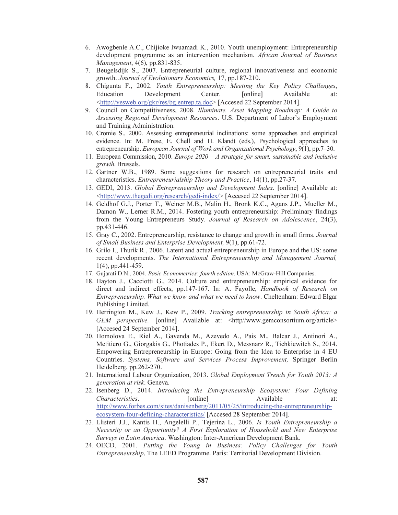- 6. Awogbenle A.C., Chijioke Iwuamadi K., 2010. Youth unemployment: Entrepreneurship development programme as an intervention mechanism. African Journal of Business Management, 4(6), pp.831-835.
- 7. Beugelsdijk S., 2007. Entrepreneurial culture, regional innovativeness and economic growth. Journal of Evolutionary Economics, 17, pp.187-210.
- 8. Chigunta F., 2002. Youth Entrepreneurship: Meeting the Key Policy Challenges, Education Development Center. [online] Available at: <http://yesweb.org/gkr/res/bg.entrep.ta.doc> [Accesed 22 September 2014].
- 9. Council on Competitiveness, 2008. Illuminate. Asset Mapping Roadmap: A Guide to Assessing Regional Development Resources. U.S. Department of Labor's Employment and Training Administration.
- 10. Cromie S., 2000. Assessing entrepreneurial inclinations: some approaches and empirical evidence. In: M. Frese, E. Chell and H. Klandt (eds.), Psychological approaches to entrepreneurship. European Journal of Work and Organizational Psychology, 9(1), pp.7–30.
- 11. European Commission, 2010. *Europe 2020 A strategie for smart, sustainable and inclusive* growth. Brussels.
- 12. Gartner W.B., 1989. Some suggestions for research on entrepreneurial traits and characteristics. Entrepreneurialship Theory and Practice, 14(1), pp.27-37.
- 13. GEDI, 2013. Global Entrepreneurship and Development Index. [online] Available at: <http://www.thegedi.org/research/gedi-index/> [Accesed 22 September 2014].
- 14. Geldhof G.J., Porter T., Weiner M.B., Malin H., Bronk K.C., Agans J.P., Mueller M., Damon W., Lerner R.M., 2014. Fostering youth entrepreneurship: Preliminary findings from the Young Entrepreneurs Study. Journal of Research on Adolescence, 24(3), pp.431-446.
- 15. Gray C., 2002. Entrepreneurship, resistance to change and growth in small firms. Journal of Small Business and Enterprise Development, 9(1), pp.61-72.
- 16. Grilo I., Thurik R., 2006. Latent and actual entrepreneurship in Europe and the US: some recent developments. The International Entrepreneurship and Management Journal, 1(4), pp.441-459.
- 17. Gujarati D.N., 2004. *Basic Econometrics: fourth edition*. USA: McGraw-Hill Companies.
- 18. Hayton J., Cacciotti G., 2014. Culture and entrepreneurship: empirical evidence for direct and indirect effects, pp.147-167. In: A. Fayolle, Handbook of Research on Entrepreneurship. What we know and what we need to know. Cheltenham: Edward Elgar Publishing Limited.
- 19. Herrington M., Kew J., Kew P., 2009. Tracking entrepreneurship in South Africa: a GEM perspective. [online] Available at: <http//www.gemconsortium.org/article> [Accesed 24 September 2014].
- 20. Homolova E., Riel A., Gavenda M., Azevedo A., Pais M., Balcar J., Antinori A., Metitiero G., Giorgakis G., Photiades P., Ekert D., Messnarz R., Tichkiewitch S., 2014. Empowering Entrepreneurship in Europe: Going from the Idea to Enterprise in 4 EU Countries. Systems, Software and Services Process Improvement, Springer Berlin Heidelberg, pp.262-270.
- 21. International Labour Organization, 2013. Global Employment Trends for Youth 2013: A generation at risk. Geneva.
- 22. Isenberg D., 2014. Introducing the Entrepreneurship Ecosystem: Four Defining Characteristics. [online] Available at: http://www.forbes.com/sites/danisenberg/2011/05/25/introducing-the-entrepreneurshipecosystem-four-defining-characteristics/ [Accesed 28 September 2014].
- 23. Llisteri J.J., Kantis H., Angelelli P., Tejerina L., 2006. Is Youth Entrepreneurship a Necessity or an Opportunity? A First Exploration of Household and New Enterprise Surveys in Latin America. Washington: Inter-American Development Bank.
- 24. OECD, 2001. Putting the Young in Business: Policy Challenges for Youth Entrepreneurship, The LEED Programme. Paris: Territorial Development Division.